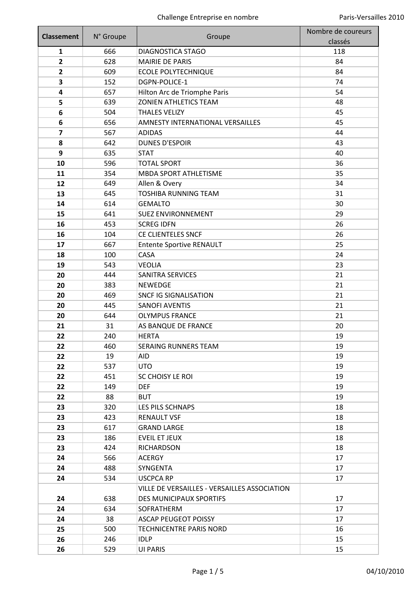| <b>Classement</b>       | N° Groupe | Groupe                                       | Nombre de coureurs |
|-------------------------|-----------|----------------------------------------------|--------------------|
|                         |           |                                              | classés            |
| $\mathbf{1}$            | 666       | <b>DIAGNOSTICA STAGO</b>                     | 118                |
| $\overline{2}$          | 628       | <b>MAIRIE DE PARIS</b>                       | 84                 |
| $\mathbf{2}$            | 609       | <b>ECOLE POLYTECHNIQUE</b>                   | 84                 |
| 3                       | 152       | DGPN-POLICE-1                                | 74                 |
| 4                       | 657       | Hilton Arc de Triomphe Paris                 | 54                 |
| 5                       | 639       | <b>ZONIEN ATHLETICS TEAM</b>                 | 48                 |
| 6                       | 504       | <b>THALES VELIZY</b>                         | 45                 |
| 6                       | 656       | AMNESTY INTERNATIONAL VERSAILLES             | 45                 |
| $\overline{\mathbf{z}}$ | 567       | <b>ADIDAS</b>                                | 44                 |
| 8                       | 642       | <b>DUNES D'ESPOIR</b>                        | 43                 |
| 9                       | 635       | <b>STAT</b>                                  | 40                 |
| 10                      | 596       | <b>TOTAL SPORT</b>                           | 36                 |
| 11                      | 354       | <b>MBDA SPORT ATHLETISME</b>                 | 35                 |
| 12                      | 649       | Allen & Overy                                | 34                 |
| 13                      | 645       | <b>TOSHIBA RUNNING TEAM</b>                  | 31                 |
| 14                      | 614       | <b>GEMALTO</b>                               | 30                 |
| 15                      | 641       | <b>SUEZ ENVIRONNEMENT</b>                    | 29                 |
| 16                      | 453       | <b>SCREG IDFN</b>                            | 26                 |
| 16                      | 104       | CE CLIENTELES SNCF                           | 26                 |
| 17                      | 667       | <b>Entente Sportive RENAULT</b>              | 25                 |
| 18                      | 100       | CASA                                         | 24                 |
| 19                      | 543       | <b>VEOLIA</b>                                | 23                 |
| 20                      | 444       | <b>SANITRA SERVICES</b>                      | 21                 |
| 20                      | 383       | <b>NEWEDGE</b>                               | 21                 |
| 20                      | 469       | <b>SNCF IG SIGNALISATION</b>                 | 21                 |
| 20                      | 445       | <b>SANOFI AVENTIS</b>                        | 21                 |
| 20                      | 644       | <b>OLYMPUS FRANCE</b>                        | 21                 |
| 21                      | 31        | AS BANQUE DE FRANCE                          | 20                 |
| 22                      | 240       | <b>HERTA</b>                                 | 19                 |
| 22                      | 460       | <b>SERAING RUNNERS TEAM</b>                  | 19                 |
| 22                      | 19        | AID                                          | 19                 |
| 22                      | 537       | <b>UTO</b>                                   | 19                 |
| 22                      | 451       | <b>SC CHOISY LE ROI</b>                      | 19                 |
| 22                      | 149       | <b>DEF</b>                                   | 19                 |
| 22                      | 88        | <b>BUT</b>                                   | 19                 |
| 23                      | 320       | LES PILS SCHNAPS                             | 18                 |
| 23                      | 423       | <b>RENAULT VSF</b>                           | 18                 |
| 23                      | 617       | <b>GRAND LARGE</b>                           | 18                 |
| 23                      | 186       | <b>EVEIL ET JEUX</b>                         | 18                 |
| 23                      | 424       | <b>RICHARDSON</b>                            | 18                 |
| 24                      | 566       | <b>ACERGY</b>                                | 17                 |
| 24                      | 488       | SYNGENTA                                     | 17                 |
| 24                      | 534       | <b>USCPCA RP</b>                             | 17                 |
|                         |           | VILLE DE VERSAILLES - VERSAILLES ASSOCIATION |                    |
| 24                      | 638       | <b>DES MUNICIPAUX SPORTIFS</b>               | 17                 |
| 24                      | 634       | SOFRATHERM                                   | 17                 |
| 24                      | 38        | <b>ASCAP PEUGEOT POISSY</b>                  | 17                 |
| 25                      | 500       | TECHNICENTRE PARIS NORD                      | 16                 |
| 26                      | 246       | <b>IDLP</b>                                  | 15                 |
| 26                      | 529       | UI PARIS                                     | 15                 |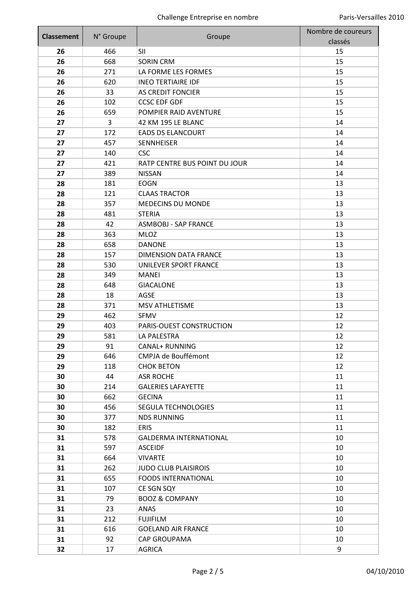| <b>Classement</b> | N° Groupe | Groupe                        | Nombre de coureurs<br>classés |
|-------------------|-----------|-------------------------------|-------------------------------|
| 26                | 466       | <b>SII</b>                    | 15                            |
| 26                | 668       | <b>SORIN CRM</b>              | 15                            |
| 26                | 271       | LA FORME LES FORMES           | 15                            |
| 26                | 620       | <b>INEO TERTIAIRE IDF</b>     | 15                            |
| 26                | 33        | <b>AS CREDIT FONCIER</b>      | 15                            |
| 26                | 102       | <b>CCSC EDF GDF</b>           | 15                            |
| 26                | 659       | POMPIER RAID AVENTURE         | 15                            |
| 27                | 3         | 42 KM 195 LE BLANC            | 14                            |
| 27                | 172       | <b>EADS DS ELANCOURT</b>      | 14                            |
| 27                | 457       | <b>SENNHEISER</b>             | 14                            |
| 27                | 140       | <b>CSC</b>                    | 14                            |
| 27                | 421       | RATP CENTRE BUS POINT DU JOUR | 14                            |
| 27                | 389       | <b>NISSAN</b>                 | 14                            |
| 28                | 181       | <b>EOGN</b>                   | 13                            |
| 28                | 121       | <b>CLAAS TRACTOR</b>          | 13                            |
| 28                | 357       | <b>MEDECINS DU MONDE</b>      | 13                            |
| 28                | 481       | <b>STERIA</b>                 | 13                            |
| 28                | 42        | <b>ASMBOBJ - SAP FRANCE</b>   | 13                            |
| 28                | 363       | <b>MLOZ</b>                   | 13                            |
| 28                | 658       | <b>DANONE</b>                 | 13                            |
| 28                | 157       | <b>DIMENSION DATA FRANCE</b>  | 13                            |
| 28                | 530       | UNILEVER SPORT FRANCE         | 13                            |
| 28                | 349       | <b>MANEI</b>                  | 13                            |
| 28                | 648       | <b>GIACALONE</b>              | 13                            |
| 28                | 18        | AGSE                          | 13                            |
| 28                | 371       | <b>MSV ATHLETISME</b>         | 13                            |
| 29                | 462       | <b>SFMV</b>                   | 12                            |
| 29                | 403       | PARIS-OUEST CONSTRUCTION      | 12                            |
| 29                | 581       | LA PALESTRA                   | 12                            |
| 29                | 91        | <b>CANAL+ RUNNING</b>         | 12                            |
| 29                | 646       | <b>CMPJA de Bouffémont</b>    | 12                            |
| 29                | 118       | <b>CHOK BETON</b>             | 12                            |
| 30                | 44        | <b>ASR ROCHE</b>              | 11                            |
| 30                | 214       | <b>GALERIES LAFAYETTE</b>     | 11                            |
| 30                | 662       | <b>GECINA</b>                 | 11                            |
| 30                | 456       | SEGULA TECHNOLOGIES           | 11                            |
| 30                | 377       | <b>NDS RUNNING</b>            | 11                            |
| 30                | 182       | ERIS                          | 11                            |
| 31                | 578       | <b>GALDERMA INTERNATIONAL</b> | 10                            |
| 31                | 597       | <b>ASCEIDF</b>                | 10                            |
| 31                | 664       | <b>VIVARTE</b>                | 10                            |
| 31                | 262       | <b>JUDO CLUB PLAISIROIS</b>   | 10                            |
| 31                | 655       | <b>FOODS INTERNATIONAL</b>    | 10                            |
| 31                | 107       | CE SGN SQY                    | 10                            |
| 31                | 79        | <b>BOOZ &amp; COMPANY</b>     | 10                            |
| 31                | 23        | ANAS                          | 10                            |
| 31                | 212       | <b>FUJIFILM</b>               | 10                            |
| 31                | 616       | <b>GOELAND AIR FRANCE</b>     | 10                            |
| 31                | 92        | <b>CAP GROUPAMA</b>           | 10                            |
| 32                | 17        | <b>AGRICA</b>                 | 9                             |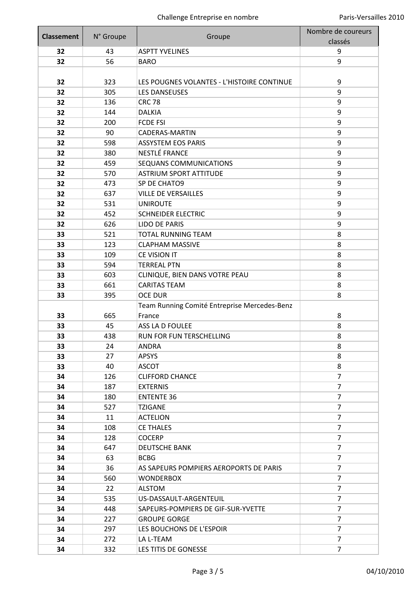| <b>Classement</b> | N° Groupe | Groupe                                       | Nombre de coureurs |
|-------------------|-----------|----------------------------------------------|--------------------|
|                   |           |                                              | classés            |
| 32                | 43        | <b>ASPTT YVELINES</b>                        | 9                  |
| 32                | 56        | <b>BARO</b>                                  | 9                  |
|                   |           |                                              |                    |
| 32                | 323       | LES POUGNES VOLANTES - L'HISTOIRE CONTINUE   | 9                  |
| 32                | 305       | <b>LES DANSEUSES</b>                         | 9                  |
| 32                | 136       | <b>CRC 78</b>                                | 9                  |
| 32                | 144       | <b>DALKIA</b>                                | 9                  |
| 32                | 200       | <b>FCDE FSI</b>                              | 9                  |
| 32                | 90        | CADERAS-MARTIN                               | 9                  |
| 32                | 598       | <b>ASSYSTEM EOS PARIS</b>                    | 9                  |
| 32                | 380       | NESTLÉ FRANCE                                | 9                  |
| 32                | 459       | SEQUANS COMMUNICATIONS                       | 9                  |
| 32                | 570       | <b>ASTRIUM SPORT ATTITUDE</b>                | 9                  |
| 32                | 473       | SP DE CHATO9                                 | 9                  |
| 32                | 637       | <b>VILLE DE VERSAILLES</b>                   | 9                  |
| 32                | 531       | <b>UNIROUTE</b>                              | 9                  |
| 32                | 452       | <b>SCHNEIDER ELECTRIC</b>                    | 9                  |
| 32                | 626       | <b>LIDO DE PARIS</b>                         | 9                  |
| 33                | 521       | <b>TOTAL RUNNING TEAM</b>                    | 8                  |
| 33                | 123       | <b>CLAPHAM MASSIVE</b>                       | 8                  |
| 33                | 109       | CE VISION IT                                 | 8                  |
| 33                | 594       | <b>TERREAL PTN</b>                           | 8                  |
| 33                | 603       | CLINIQUE, BIEN DANS VOTRE PEAU               | 8                  |
| 33                | 661       | <b>CARITAS TEAM</b>                          | 8                  |
| 33                | 395       | <b>OCE DUR</b>                               | 8                  |
|                   |           | Team Running Comité Entreprise Mercedes-Benz |                    |
| 33                | 665       | France                                       | 8                  |
| 33                | 45        | ASS LA D FOULEE                              | 8                  |
| 33                | 438       | RUN FOR FUN TERSCHELLING                     | 8                  |
| 33                | 24        | ANDRA                                        | 8                  |
| 33                | 27        | <b>APSYS</b>                                 | 8                  |
| 33                | 40        | ASCOT                                        | 8                  |
| 34                | 126       | <b>CLIFFORD CHANCE</b>                       | $\overline{7}$     |
| 34                | 187       | <b>EXTERNIS</b>                              | $\overline{7}$     |
| 34                | 180       | <b>ENTENTE 36</b>                            | $\overline{7}$     |
| 34                | 527       | <b>TZIGANE</b>                               | $\overline{7}$     |
| 34                | 11        | <b>ACTELION</b>                              | $\overline{7}$     |
| 34                | 108       | <b>CE THALES</b>                             | $\overline{7}$     |
| 34                | 128       | <b>COCERP</b>                                | $\overline{7}$     |
| 34                | 647       | <b>DEUTSCHE BANK</b>                         | $\overline{7}$     |
| 34                | 63        | <b>BCBG</b>                                  | $\overline{7}$     |
| 34                | 36        | AS SAPEURS POMPIERS AEROPORTS DE PARIS       | $\overline{7}$     |
| 34                | 560       | <b>WONDERBOX</b>                             | $\overline{7}$     |
| 34                | 22        | <b>ALSTOM</b>                                | $\overline{7}$     |
| 34                | 535       | US-DASSAULT-ARGENTEUIL                       | 7                  |
| 34                | 448       | SAPEURS-POMPIERS DE GIF-SUR-YVETTE           | $\overline{7}$     |
| 34                | 227       | <b>GROUPE GORGE</b>                          | $\overline{7}$     |
| 34                | 297       | LES BOUCHONS DE L'ESPOIR                     | $\overline{7}$     |
| 34                | 272       | LA L-TEAM                                    | $\overline{7}$     |
| 34                | 332       | LES TITIS DE GONESSE                         | $\overline{7}$     |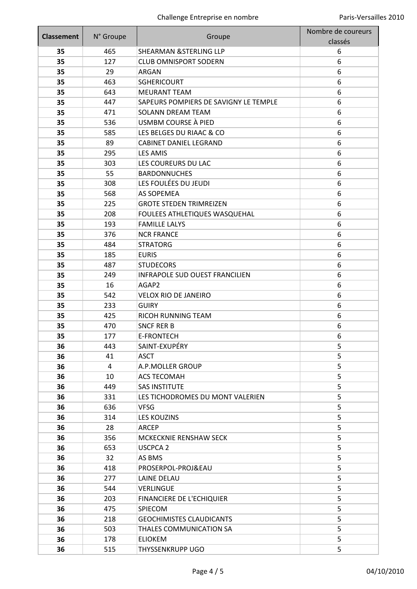| <b>Classement</b> | N° Groupe | Groupe                                | Nombre de coureurs |
|-------------------|-----------|---------------------------------------|--------------------|
|                   |           |                                       | classés            |
| 35                | 465       | <b>SHEARMAN &amp;STERLING LLP</b>     | 6                  |
| 35                | 127       | <b>CLUB OMNISPORT SODERN</b>          | 6                  |
| 35                | 29        | <b>ARGAN</b>                          | 6                  |
| 35                | 463       | <b>SGHERICOURT</b>                    | 6                  |
| 35                | 643       | <b>MEURANT TEAM</b>                   | 6                  |
| 35                | 447       | SAPEURS POMPIERS DE SAVIGNY LE TEMPLE | 6                  |
| 35                | 471       | <b>SOLANN DREAM TEAM</b>              | 6                  |
| 35                | 536       | USMBM COURSE À PIED                   | 6                  |
| 35                | 585       | LES BELGES DU RIAAC & CO              | 6                  |
| 35                | 89        | <b>CABINET DANIEL LEGRAND</b>         | 6                  |
| 35                | 295       | <b>LES AMIS</b>                       | 6                  |
| 35                | 303       | LES COUREURS DU LAC                   | 6                  |
| 35                | 55        | <b>BARDONNUCHES</b>                   | 6                  |
| 35                | 308       | LES FOULÉES DU JEUDI                  | 6                  |
| 35                | 568       | <b>AS SOPEMEA</b>                     | 6                  |
| 35                | 225       | <b>GROTE STEDEN TRIMREIZEN</b>        | 6                  |
| 35                | 208       | FOULEES ATHLETIQUES WASQUEHAL         | 6                  |
| 35                | 193       | <b>FAMILLE LALYS</b>                  | 6                  |
| 35                | 376       | <b>NCR FRANCE</b>                     | 6                  |
| 35                | 484       | <b>STRATORG</b>                       | 6                  |
| 35                | 185       | <b>EURIS</b>                          | 6                  |
| 35                | 487       | <b>STUDECORS</b>                      | 6                  |
| 35                | 249       | <b>INFRAPOLE SUD OUEST FRANCILIEN</b> | 6                  |
| 35                | 16        | AGAP2                                 | 6                  |
| 35                | 542       | <b>VELOX RIO DE JANEIRO</b>           | 6                  |
| 35                | 233       | <b>GUIRY</b>                          | 6                  |
| 35                | 425       | RICOH RUNNING TEAM                    | 6                  |
| 35                | 470       | <b>SNCF RER B</b>                     | 6                  |
| 35                | 177       | <b>E-FRONTECH</b>                     | 6                  |
| 36                | 443       | SAINT-EXUPÉRY                         | 5                  |
| 36                | 41        | <b>ASCT</b>                           | 5                  |
| 36                | 4         | A.P.MOLLER GROUP                      | 5                  |
| 36                | 10        | <b>ACS TECOMAH</b>                    | 5                  |
| 36                | 449       | <b>SAS INSTITUTE</b>                  | 5                  |
| 36                | 331       | LES TICHODROMES DU MONT VALERIEN      | 5                  |
| 36                | 636       | <b>VFSG</b>                           | 5                  |
| 36                | 314       | <b>LES KOUZINS</b>                    | 5                  |
| 36                | 28        | ARCEP                                 | 5                  |
| 36                | 356       | MCKECKNIE RENSHAW SECK                | 5                  |
| 36                | 653       | <b>USCPCA 2</b>                       | 5                  |
| 36                | 32        | AS BMS                                | 5                  |
| 36                | 418       | PROSERPOL-PROJ&EAU                    | 5                  |
| 36                | 277       | LAINE DELAU                           | 5                  |
| 36                | 544       | <b>VERLINGUE</b>                      | 5                  |
| 36                | 203       | <b>FINANCIERE DE L'ECHIQUIER</b>      | 5                  |
| 36                | 475       | SPIECOM                               | 5                  |
| 36                | 218       | <b>GEOCHIMISTES CLAUDICANTS</b>       | 5                  |
| 36                | 503       | THALES COMMUNICATION SA               | 5                  |
| 36                | 178       | <b>ELIOKEM</b>                        | 5                  |
| 36                | 515       | THYSSENKRUPP UGO                      | 5                  |